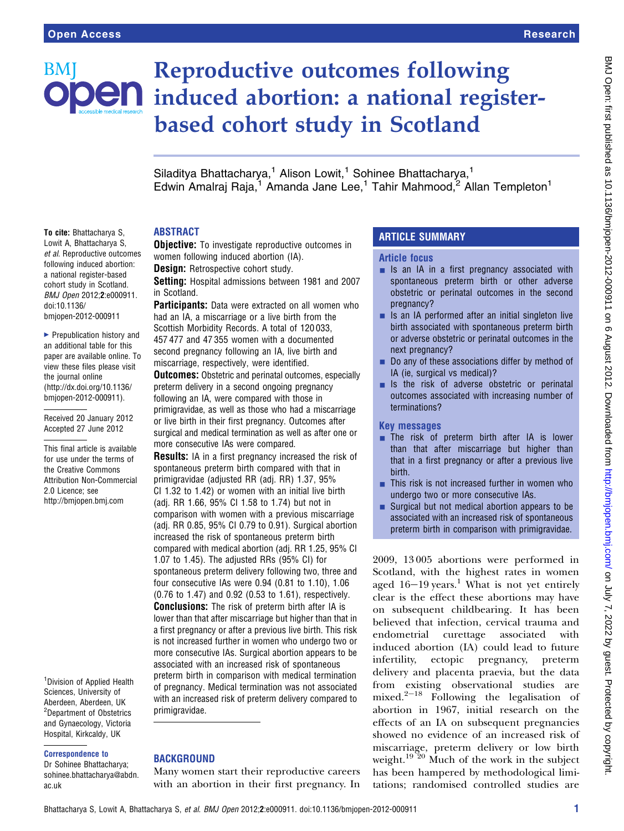# BMI

To cite: Bhattacharya S, Lowit A, Bhattacharya S, et al. Reproductive outcomes following induced abortion: a national register-based cohort study in Scotland. BMJ Open 2012;2:e000911.

 $\blacktriangleright$  Prepublication history and an additional table for this paper are available online. To view these files please visit the journal online (http://dx.doi.org/10.1136/ bmjopen-2012-000911). Received 20 January 2012 Accepted 27 June 2012

This final article is available for use under the terms of the Creative Commons Attribution Non-Commercial

2.0 Licence; see http://bmjopen.bmj.com

doi:10.1136/ bmjopen-2012-000911

# Reproductive outcomes following **ICO** induced abortion: a national registerbased cohort study in Scotland

Siladitya Bhattacharya,<sup>1</sup> Alison Lowit,<sup>1</sup> Sohinee Bhattacharya,<sup>1</sup> Edwin Amalraj Raja,<sup>1</sup> Amanda Jane Lee,<sup>1</sup> Tahir Mahmood,<sup>2</sup> Allan Templeton<sup>1</sup>

# ABSTRACT

**Objective:** To investigate reproductive outcomes in women following induced abortion (IA).

**Design:** Retrospective cohort study.

Setting: Hospital admissions between 1981 and 2007 in Scotland.

Participants: Data were extracted on all women who had an IA, a miscarriage or a live birth from the Scottish Morbidity Records. A total of 120 033, 457 477 and 47 355 women with a documented second pregnancy following an IA, live birth and miscarriage, respectively, were identified.

**Outcomes:** Obstetric and perinatal outcomes, especially preterm delivery in a second ongoing pregnancy following an IA, were compared with those in primigravidae, as well as those who had a miscarriage or live birth in their first pregnancy. Outcomes after surgical and medical termination as well as after one or more consecutive IAs were compared.

**Results:** IA in a first pregnancy increased the risk of spontaneous preterm birth compared with that in primigravidae (adjusted RR (adj. RR) 1.37, 95% CI 1.32 to 1.42) or women with an initial live birth (adj. RR 1.66, 95% CI 1.58 to 1.74) but not in comparison with women with a previous miscarriage (adj. RR 0.85, 95% CI 0.79 to 0.91). Surgical abortion increased the risk of spontaneous preterm birth compared with medical abortion (adj. RR 1.25, 95% CI 1.07 to 1.45). The adjusted RRs (95% CI) for spontaneous preterm delivery following two, three and four consecutive IAs were 0.94 (0.81 to 1.10), 1.06 (0.76 to 1.47) and 0.92 (0.53 to 1.61), respectively. **Conclusions:** The risk of preterm birth after IA is lower than that after miscarriage but higher than that in a first pregnancy or after a previous live birth. This risk is not increased further in women who undergo two or more consecutive IAs. Surgical abortion appears to be associated with an increased risk of spontaneous preterm birth in comparison with medical termination of pregnancy. Medical termination was not associated with an increased risk of preterm delivery compared to primigravidae.

#### <sup>1</sup> Division of Applied Health Sciences, University of Aberdeen, Aberdeen, UK <sup>2</sup>Department of Obstetrics and Gynaecology, Victoria Hospital, Kirkcaldy, UK

#### Correspondence to

Dr Sohinee Bhattacharya; sohinee.bhattacharya@abdn. ac.uk

# **BACKGROUND**

Many women start their reproductive careers with an abortion in their first pregnancy. In

# ARTICLE SUMMARY

#### Article focus

- $\blacksquare$  Is an IA in a first pregnancy associated with spontaneous preterm birth or other adverse obstetric or perinatal outcomes in the second pregnancy?
- $\blacksquare$  Is an IA performed after an initial singleton live birth associated with spontaneous preterm birth or adverse obstetric or perinatal outcomes in the next pregnancy?
- $\blacksquare$  Do any of these associations differ by method of IA (ie, surgical vs medical)?
- **In Is the risk of adverse obstetric or perinatal** outcomes associated with increasing number of terminations?

#### Key messages

- **-** The risk of preterm birth after IA is lower than that after miscarriage but higher than that in a first pregnancy or after a previous live birth.
- $\blacksquare$  This risk is not increased further in women who undergo two or more consecutive IAs.
- $\blacksquare$  Surgical but not medical abortion appears to be associated with an increased risk of spontaneous preterm birth in comparison with primigravidae.

2009, 13 005 abortions were performed in Scotland, with the highest rates in women aged  $16-19$  years.<sup>1</sup> What is not yet entirely clear is the effect these abortions may have on subsequent childbearing. It has been believed that infection, cervical trauma and endometrial curettage associated with induced abortion (IA) could lead to future infertility, ectopic pregnancy, preterm delivery and placenta praevia, but the data from existing observational studies are mixed. $2^{-18}$  Following the legalisation of abortion in 1967, initial research on the effects of an IA on subsequent pregnancies showed no evidence of an increased risk of miscarriage, preterm delivery or low birth weight.<sup>19 20</sup> Much of the work in the subject has been hampered by methodological limitations; randomised controlled studies are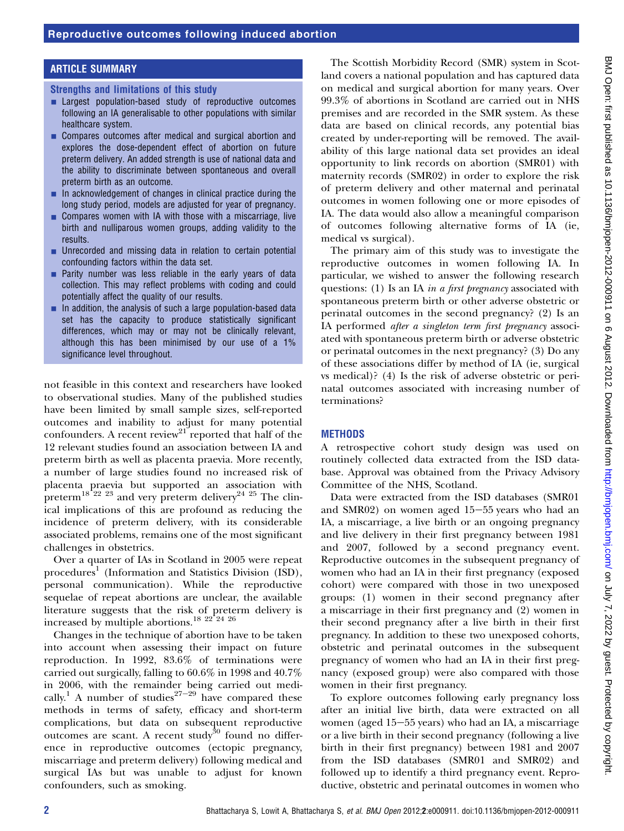#### ARTICLE SUMMARY

#### Strengths and limitations of this study

- **Example 1** Largest population-based study of reproductive outcomes following an IA generalisable to other populations with similar healthcare system.
- **EXECOMPARES** outcomes after medical and surgical abortion and explores the dose-dependent effect of abortion on future preterm delivery. An added strength is use of national data and the ability to discriminate between spontaneous and overall preterm birth as an outcome.
- In acknowledgement of changes in clinical practice during the long study period, models are adjusted for year of pregnancy.
- $\blacksquare$  Compares women with IA with those with a miscarriage, live birth and nulliparous women groups, adding validity to the results.
- **E** Unrecorded and missing data in relation to certain potential confounding factors within the data set.
- **Parity number was less reliable in the early years of data** collection. This may reflect problems with coding and could potentially affect the quality of our results.
- $\blacksquare$  In addition, the analysis of such a large population-based data set has the capacity to produce statistically significant differences, which may or may not be clinically relevant, although this has been minimised by our use of a 1% significance level throughout.

not feasible in this context and researchers have looked to observational studies. Many of the published studies have been limited by small sample sizes, self-reported outcomes and inability to adjust for many potential confounders. A recent review<sup>21</sup> reported that half of the 12 relevant studies found an association between IA and preterm birth as well as placenta praevia. More recently, a number of large studies found no increased risk of placenta praevia but supported an association with preterm<sup>18 22 23</sup> and very preterm delivery<sup>24 25</sup> The clinical implications of this are profound as reducing the incidence of preterm delivery, with its considerable associated problems, remains one of the most significant challenges in obstetrics.

Over a quarter of IAs in Scotland in 2005 were repeat procedures<sup>1</sup> (Information and Statistics Division (ISD), personal communication). While the reproductive sequelae of repeat abortions are unclear, the available literature suggests that the risk of preterm delivery is increased by multiple abortions.<sup>18 22</sup><sup>24 26</sup>

Changes in the technique of abortion have to be taken into account when assessing their impact on future reproduction. In 1992, 83.6% of terminations were carried out surgically, falling to 60.6% in 1998 and 40.7% in 2006, with the remainder being carried out medically.<sup>1</sup> A number of studies<sup>27-29</sup> have compared these methods in terms of safety, efficacy and short-term complications, but data on subsequent reproductive outcomes are scant. A recent study<sup>30</sup> found no difference in reproductive outcomes (ectopic pregnancy, miscarriage and preterm delivery) following medical and surgical IAs but was unable to adjust for known confounders, such as smoking.

The Scottish Morbidity Record (SMR) system in Scotland covers a national population and has captured data on medical and surgical abortion for many years. Over 99.3% of abortions in Scotland are carried out in NHS premises and are recorded in the SMR system. As these data are based on clinical records, any potential bias created by under-reporting will be removed. The availability of this large national data set provides an ideal opportunity to link records on abortion (SMR01) with maternity records (SMR02) in order to explore the risk of preterm delivery and other maternal and perinatal outcomes in women following one or more episodes of IA. The data would also allow a meaningful comparison of outcomes following alternative forms of IA (ie, medical vs surgical).

The primary aim of this study was to investigate the reproductive outcomes in women following IA. In particular, we wished to answer the following research questions: (1) Is an IA in a first pregnancy associated with spontaneous preterm birth or other adverse obstetric or perinatal outcomes in the second pregnancy? (2) Is an IA performed *after a singleton term first pregnancy* associated with spontaneous preterm birth or adverse obstetric or perinatal outcomes in the next pregnancy? (3) Do any of these associations differ by method of IA (ie, surgical vs medical)? (4) Is the risk of adverse obstetric or perinatal outcomes associated with increasing number of terminations?

#### **METHODS**

A retrospective cohort study design was used on routinely collected data extracted from the ISD database. Approval was obtained from the Privacy Advisory Committee of the NHS, Scotland.

Data were extracted from the ISD databases (SMR01 and SMR02) on women aged  $15-55$  years who had an IA, a miscarriage, a live birth or an ongoing pregnancy and live delivery in their first pregnancy between 1981 and 2007, followed by a second pregnancy event. Reproductive outcomes in the subsequent pregnancy of women who had an IA in their first pregnancy (exposed cohort) were compared with those in two unexposed groups: (1) women in their second pregnancy after a miscarriage in their first pregnancy and (2) women in their second pregnancy after a live birth in their first pregnancy. In addition to these two unexposed cohorts, obstetric and perinatal outcomes in the subsequent pregnancy of women who had an IA in their first pregnancy (exposed group) were also compared with those women in their first pregnancy.

To explore outcomes following early pregnancy loss after an initial live birth, data were extracted on all women (aged  $15-55$  years) who had an IA, a miscarriage or a live birth in their second pregnancy (following a live birth in their first pregnancy) between 1981 and 2007 from the ISD databases (SMR01 and SMR02) and followed up to identify a third pregnancy event. Reproductive, obstetric and perinatal outcomes in women who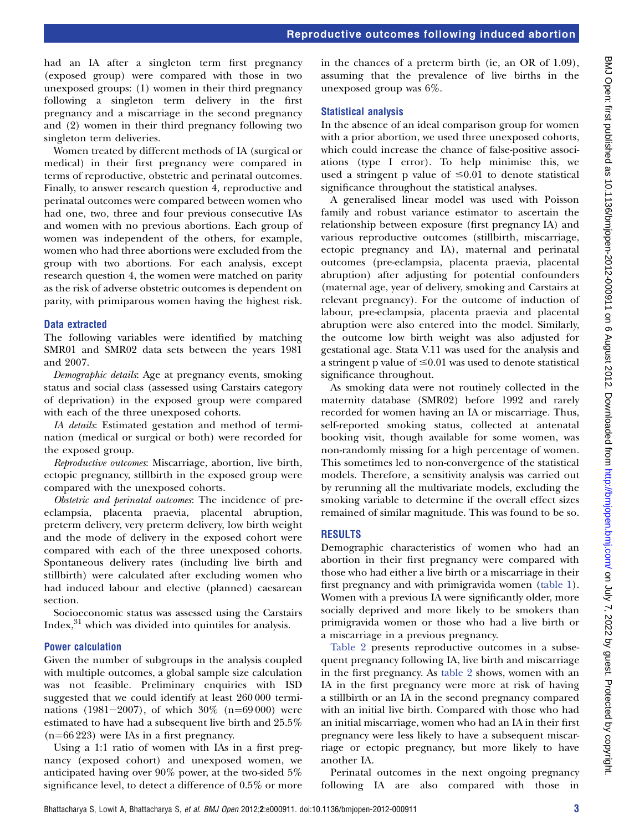had an IA after a singleton term first pregnancy (exposed group) were compared with those in two unexposed groups: (1) women in their third pregnancy following a singleton term delivery in the first pregnancy and a miscarriage in the second pregnancy and (2) women in their third pregnancy following two singleton term deliveries.

Women treated by different methods of IA (surgical or medical) in their first pregnancy were compared in terms of reproductive, obstetric and perinatal outcomes. Finally, to answer research question 4, reproductive and perinatal outcomes were compared between women who had one, two, three and four previous consecutive IAs and women with no previous abortions. Each group of women was independent of the others, for example, women who had three abortions were excluded from the group with two abortions. For each analysis, except research question 4, the women were matched on parity as the risk of adverse obstetric outcomes is dependent on parity, with primiparous women having the highest risk.

#### Data extracted

The following variables were identified by matching SMR01 and SMR02 data sets between the years 1981 and 2007.

Demographic details: Age at pregnancy events, smoking status and social class (assessed using Carstairs category of deprivation) in the exposed group were compared with each of the three unexposed cohorts.

IA details: Estimated gestation and method of termination (medical or surgical or both) were recorded for the exposed group.

Reproductive outcomes: Miscarriage, abortion, live birth, ectopic pregnancy, stillbirth in the exposed group were compared with the unexposed cohorts.

Obstetric and perinatal outcomes: The incidence of preeclampsia, placenta praevia, placental abruption, preterm delivery, very preterm delivery, low birth weight and the mode of delivery in the exposed cohort were compared with each of the three unexposed cohorts. Spontaneous delivery rates (including live birth and stillbirth) were calculated after excluding women who had induced labour and elective (planned) caesarean section.

Socioeconomic status was assessed using the Carstairs Index, $31$  which was divided into quintiles for analysis.

#### Power calculation

Given the number of subgroups in the analysis coupled with multiple outcomes, a global sample size calculation was not feasible. Preliminary enquiries with ISD suggested that we could identify at least 260 000 terminations (1981-2007), of which  $30\%$  (n=69 000) were estimated to have had a subsequent live birth and 25.5%  $(n=66223)$  were IAs in a first pregnancy.

Using a 1:1 ratio of women with IAs in a first pregnancy (exposed cohort) and unexposed women, we anticipated having over 90% power, at the two-sided 5% significance level, to detect a difference of 0.5% or more

in the chances of a preterm birth (ie, an OR of 1.09), assuming that the prevalence of live births in the unexposed group was 6%.

#### Statistical analysis

In the absence of an ideal comparison group for women with a prior abortion, we used three unexposed cohorts, which could increase the chance of false-positive associations (type I error). To help minimise this, we used a stringent p value of  $\leq 0.01$  to denote statistical significance throughout the statistical analyses.

A generalised linear model was used with Poisson family and robust variance estimator to ascertain the relationship between exposure (first pregnancy IA) and various reproductive outcomes (stillbirth, miscarriage, ectopic pregnancy and IA), maternal and perinatal outcomes (pre-eclampsia, placenta praevia, placental abruption) after adjusting for potential confounders (maternal age, year of delivery, smoking and Carstairs at relevant pregnancy). For the outcome of induction of labour, pre-eclampsia, placenta praevia and placental abruption were also entered into the model. Similarly, the outcome low birth weight was also adjusted for gestational age. Stata V.11 was used for the analysis and a stringent p value of  $\leq 0.01$  was used to denote statistical significance throughout.

As smoking data were not routinely collected in the maternity database (SMR02) before 1992 and rarely recorded for women having an IA or miscarriage. Thus, self-reported smoking status, collected at antenatal booking visit, though available for some women, was non-randomly missing for a high percentage of women. This sometimes led to non-convergence of the statistical models. Therefore, a sensitivity analysis was carried out by rerunning all the multivariate models, excluding the smoking variable to determine if the overall effect sizes remained of similar magnitude. This was found to be so.

#### RESULTS

Demographic characteristics of women who had an abortion in their first pregnancy were compared with those who had either a live birth or a miscarriage in their first pregnancy and with primigravida women (table 1). Women with a previous IA were significantly older, more socially deprived and more likely to be smokers than primigravida women or those who had a live birth or a miscarriage in a previous pregnancy.

Table 2 presents reproductive outcomes in a subsequent pregnancy following IA, live birth and miscarriage in the first pregnancy. As table 2 shows, women with an IA in the first pregnancy were more at risk of having a stillbirth or an IA in the second pregnancy compared with an initial live birth. Compared with those who had an initial miscarriage, women who had an IA in their first pregnancy were less likely to have a subsequent miscarriage or ectopic pregnancy, but more likely to have another IA.

Perinatal outcomes in the next ongoing pregnancy following IA are also compared with those in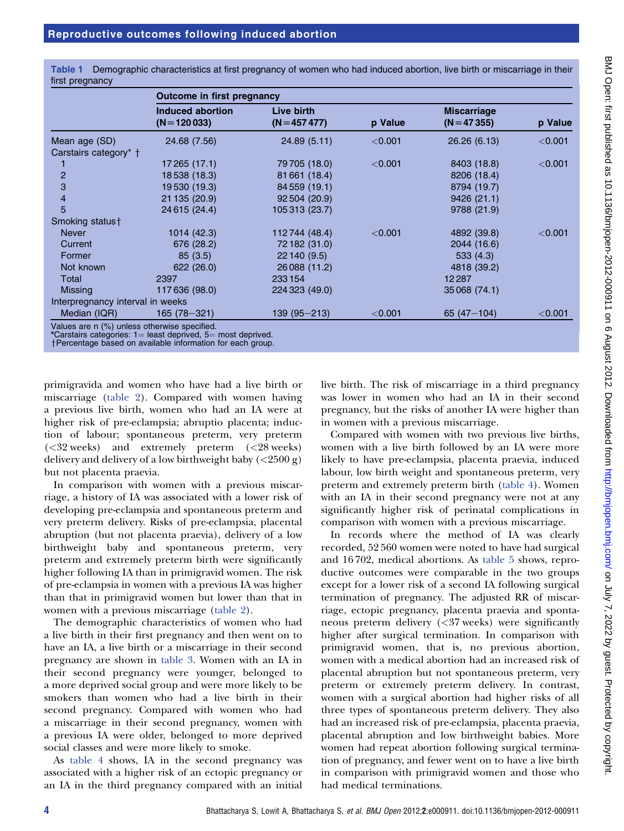Table 1 Demographic characteristics at first pregnancy of women who had induced abortion, live birth or miscarriage in their first pregnancy

| <b>Induced abortion</b><br>$(N = 120033)$<br>24.68 (7.56)<br>17265 (17.1) | Live birth<br>$(N = 457 477)$<br>24.89 (5.11)                                                                                                                                                                                                                                                                      | p Value<br>< 0.001 | <b>Miscarriage</b><br>$(N=47355)$<br>26.26 (6.13) | p Value<br>< 0.001 |
|---------------------------------------------------------------------------|--------------------------------------------------------------------------------------------------------------------------------------------------------------------------------------------------------------------------------------------------------------------------------------------------------------------|--------------------|---------------------------------------------------|--------------------|
|                                                                           |                                                                                                                                                                                                                                                                                                                    |                    |                                                   |                    |
|                                                                           |                                                                                                                                                                                                                                                                                                                    |                    |                                                   |                    |
|                                                                           |                                                                                                                                                                                                                                                                                                                    |                    |                                                   |                    |
|                                                                           | 79 705 (18.0)                                                                                                                                                                                                                                                                                                      | < 0.001            | 8403 (18.8)                                       | < 0.001            |
| 18538 (18.3)                                                              | 81 661 (18.4)                                                                                                                                                                                                                                                                                                      |                    | 8206 (18.4)                                       |                    |
|                                                                           | 84 559 (19.1)                                                                                                                                                                                                                                                                                                      |                    | 8794 (19.7)                                       |                    |
|                                                                           | 92 504 (20.9)                                                                                                                                                                                                                                                                                                      |                    | 9426(21.1)                                        |                    |
|                                                                           | 105 313 (23.7)                                                                                                                                                                                                                                                                                                     |                    | 9788 (21.9)                                       |                    |
|                                                                           |                                                                                                                                                                                                                                                                                                                    |                    |                                                   |                    |
|                                                                           | 112744 (48.4)                                                                                                                                                                                                                                                                                                      | < 0.001            | 4892 (39.8)                                       | < 0.001            |
|                                                                           |                                                                                                                                                                                                                                                                                                                    |                    | 2044 (16.6)                                       |                    |
| 85(3.5)                                                                   | 22 140 (9.5)                                                                                                                                                                                                                                                                                                       |                    |                                                   |                    |
| 622(26.0)                                                                 | 26 088 (11.2)                                                                                                                                                                                                                                                                                                      |                    | 4818 (39.2)                                       |                    |
|                                                                           | 233 154                                                                                                                                                                                                                                                                                                            |                    | 12287                                             |                    |
|                                                                           | 224 323 (49.0)                                                                                                                                                                                                                                                                                                     |                    | 35 068 (74.1)                                     |                    |
|                                                                           |                                                                                                                                                                                                                                                                                                                    |                    |                                                   |                    |
|                                                                           | $139(95 - 213)$                                                                                                                                                                                                                                                                                                    | < 0.001            | $65(47-104)$                                      | < 0.001            |
|                                                                           | 19530 (19.3)<br>21 135 (20.9)<br>24 615 (24.4)<br>1014 (42.3)<br>676 (28.2)<br>2397<br>117636 (98.0)<br>Interpregnancy interval in weeks<br>165 (78–321)<br>Values are n (%) unless otherwise specified.<br>$\star \bullet$ and also a statements of the statement and $\tau$<br>المتحامل والمتحامل المتحام ومحارب | 72 182 (31.0)      |                                                   | 533(4.3)           |

\*Carstairs categories: 1¼ least deprived, 5¼ most deprived. yPercentage based on available information for each group.

primigravida and women who have had a live birth or miscarriage (table 2). Compared with women having a previous live birth, women who had an IA were at higher risk of pre-eclampsia; abruptio placenta; induction of labour; spontaneous preterm, very preterm (<32 weeks) and extremely preterm (<28 weeks) delivery and delivery of a low birthweight baby (<2500 g) but not placenta praevia.

In comparison with women with a previous miscarriage, a history of IA was associated with a lower risk of developing pre-eclampsia and spontaneous preterm and very preterm delivery. Risks of pre-eclampsia, placental abruption (but not placenta praevia), delivery of a low birthweight baby and spontaneous preterm, very preterm and extremely preterm birth were significantly higher following IA than in primigravid women. The risk of pre-eclampsia in women with a previous IA was higher than that in primigravid women but lower than that in women with a previous miscarriage (table 2).

The demographic characteristics of women who had a live birth in their first pregnancy and then went on to have an IA, a live birth or a miscarriage in their second pregnancy are shown in table 3. Women with an IA in their second pregnancy were younger, belonged to a more deprived social group and were more likely to be smokers than women who had a live birth in their second pregnancy. Compared with women who had a miscarriage in their second pregnancy, women with a previous IA were older, belonged to more deprived social classes and were more likely to smoke.

As table 4 shows, IA in the second pregnancy was associated with a higher risk of an ectopic pregnancy or an IA in the third pregnancy compared with an initial live birth. The risk of miscarriage in a third pregnancy was lower in women who had an IA in their second pregnancy, but the risks of another IA were higher than in women with a previous miscarriage.

Compared with women with two previous live births, women with a live birth followed by an IA were more likely to have pre-eclampsia, placenta praevia, induced labour, low birth weight and spontaneous preterm, very preterm and extremely preterm birth (table 4). Women with an IA in their second pregnancy were not at any significantly higher risk of perinatal complications in comparison with women with a previous miscarriage.

In records where the method of IA was clearly recorded, 52 560 women were noted to have had surgical and 16 702, medical abortions. As table 5 shows, reproductive outcomes were comparable in the two groups except for a lower risk of a second IA following surgical termination of pregnancy. The adjusted RR of miscarriage, ectopic pregnancy, placenta praevia and spontaneous preterm delivery (<37 weeks) were significantly higher after surgical termination. In comparison with primigravid women, that is, no previous abortion, women with a medical abortion had an increased risk of placental abruption but not spontaneous preterm, very preterm or extremely preterm delivery. In contrast, women with a surgical abortion had higher risks of all three types of spontaneous preterm delivery. They also had an increased risk of pre-eclampsia, placenta praevia, placental abruption and low birthweight babies. More women had repeat abortion following surgical termination of pregnancy, and fewer went on to have a live birth in comparison with primigravid women and those who had medical terminations.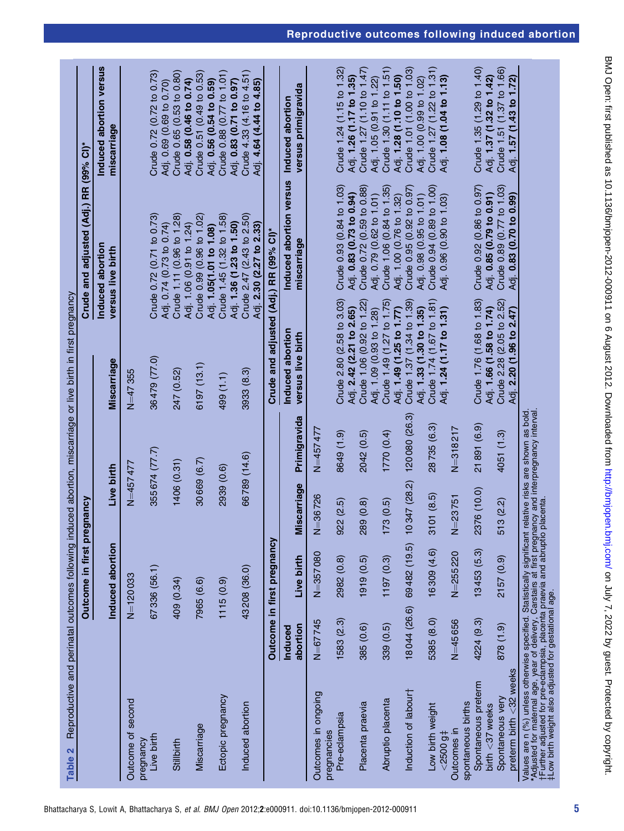| Table 2                                                                                                                                                                                                                              |                     | Outcome in first pregnancy |                |                | Reproductive and perinatal outcomes following induced abortion, miscarriage or live birth in first pregnancy | Crude and adjusted (Adj.) RR (99% CI)*                                           |                                                                                   |
|--------------------------------------------------------------------------------------------------------------------------------------------------------------------------------------------------------------------------------------|---------------------|----------------------------|----------------|----------------|--------------------------------------------------------------------------------------------------------------|----------------------------------------------------------------------------------|-----------------------------------------------------------------------------------|
|                                                                                                                                                                                                                                      |                     | Induced abortion           | Live birth     |                | Miscarriage                                                                                                  | Induced abortion<br>versus live birth                                            | Induced abortion versus<br>miscarriage                                            |
| Outcome of second                                                                                                                                                                                                                    |                     | $N=120033$                 | N=457477       |                | $N=47355$                                                                                                    |                                                                                  |                                                                                   |
| Live birth<br>pregnancy                                                                                                                                                                                                              |                     | 67336 (56.1)               |                | 355 674 (77.7) | 36479 (77.0)                                                                                                 | Crude 0.72 (0.71 to 0.73)                                                        | Crude 0.72 (0.72 to 0.73)                                                         |
| Stillbirth                                                                                                                                                                                                                           |                     | 409 (0.34)                 | 1406 (0.31)    |                | 247 (0.52)                                                                                                   | Crude 1.11 (0.96 to 1.28)<br>Adj. 0.74 (0.73 to 0.74)                            | Crude 0.65 (0.53 to 0.80)<br>Adj. 0.69 (0.69 to 0.70)                             |
| Miscarriage                                                                                                                                                                                                                          |                     | 7965 (6.6)                 | 30669 (6.7)    |                | 6197 (13.1)                                                                                                  | Crude 0.99 (0.96 to 1.02)<br>Adj. 1.06 (0.91 to 1.24)                            | Crude 0.51 (0.49 to 0.53)<br>Adj. 0.58 (0.46 to 0.74)                             |
| Ectopic pregnancy                                                                                                                                                                                                                    |                     | 1115(0.9)                  | 2939 (0.6)     |                | 499 (1.1)                                                                                                    | Crude 1.45 (1.32 to 1.58)<br>Adj. 1.36 (1.23 to 1.50)<br>Adj. 1.05(1.01 to 1.08) | Crude 0.88 (0.77 to 1.01)<br>Adj. 0.83 (0.71 to 0.97)<br>Adj. 0.56 (0.54 to 0.59) |
| Induced abortion                                                                                                                                                                                                                     |                     | 43208 (36.0)               | 66789 (14.6)   |                | 3933 (8.3)                                                                                                   | Crude 2.47 (2.43 to 2.50)<br>Adj. 2.30 (2.27 to 2.33)                            | Crude 4.33 (4.16 to 4.51)<br>Adj. 4.64 (4.44 to 4.85)                             |
|                                                                                                                                                                                                                                      |                     | Outcome in first pregnancy |                |                | Crude and adjusted (Adj.) RR (99% CI)*                                                                       |                                                                                  |                                                                                   |
|                                                                                                                                                                                                                                      | abortion<br>Induced | Live birth                 | scarriage<br>Ξ | Primigravida   | Induced abortion<br>versus live birth                                                                        | Induced abortion versus<br>miscarriage                                           | versus primigravida<br>Induced abortion                                           |
| Outcomes in ongoing<br>pregnancies                                                                                                                                                                                                   | $N = 67745$         | $N = 357080$               | $N = 36726$    | N=457477       |                                                                                                              |                                                                                  |                                                                                   |
| Pre-eclampsia                                                                                                                                                                                                                        | 1583 (2.3)          | 2982 (0.8)                 | 922(2.5)       | 8649 (1.9)     | Crude 2.80 (2.58 to 3.03)<br>Adj. 2.42 (2.21 to 2.65)                                                        | Crude 0.93 (0.84 to 1.03)<br>Adj. 0.83 (0.73 to 0.94)                            | Crude 1.24 (1.15 to 1.32)<br>Adj. 1.26 (1.17 to 1.35)                             |
| Placenta praevia                                                                                                                                                                                                                     | 385 (0.6)           | $(0.5)$ $(0.5)$            | 289 (0.8)      | 2042 (0.5)     | Crude 1.06 (0.92 to 1.22)<br>Adj. 1.09 (0.93 to 1.28)                                                        | Crude 0.72 (0.59 to 0.88)<br>Adj. 0.79 (0.62 to 1.01)                            | Crude 1.27 (1.10 to 1.47)<br>Adj. 1.05 (0.91 to 1.22)                             |
| Abruptio placenta                                                                                                                                                                                                                    | 339 (0.5)           | 1197(0.3)                  | (0.5)          | 1770 (0.4)     | Crude 1.49 (1.27 to 1.75)<br>Adj. 1.49 (1.25 to 1.77)                                                        | Crude 1.06 (0.84 to 1.35)<br>Adj. 1.00 (0.76 to 1.32)                            | Crude 1.30 (1.11 to 1.51)<br>Adj. 1.28 (1.10 to 1.50)                             |
| Induction of labour†                                                                                                                                                                                                                 | 18044 (26.6)        | 69482 (19.5)               | 10347 (28.2)   | 120080 (26.3)  | Crude 1.37 (1.34 to 1.39)<br>Adj. 1.33 (1.30 to 1.35)                                                        | Crude 0.95 (0.92 to 0.97)<br>Adj. 0.98 (0.95 to 1.01)                            | Crude 1.01 (1.00 to 1.03)<br>Adj. 1.00 (0.99 to 1.02)                             |
| Low birth weight<br>$<$ 2500 g‡                                                                                                                                                                                                      | 5385 (8.0)          | 16309 (4.6)                | 3101(8.5)      | 28735 (6.3)    | Crude 1.74 (1.67 to 1.81<br>Adj. 1.24 (1.17 to 1.31)                                                         | Crude 0.94 (0.89 to 1.00)<br>Adj. 0.96 (0.90 to 1.03)                            | Crude 1.27 (1.22 to 1.31)<br>Adj. 1.08 (1.04 to 1.13)                             |
| Outcomes in                                                                                                                                                                                                                          | $N=45656$           | $N = 255220$               | $N = 23751$    | $N = 318217$   |                                                                                                              |                                                                                  |                                                                                   |
| Spontaneous preterm<br>spontaneous births<br>birth $<$ 37 weeks                                                                                                                                                                      | 4224 (9.3)          | 13453(5.3)                 | 2376 (10.0)    | 21891 (6.9)    | Crude 1.76 (1.68 to 1.83)<br>Adj. 1.66 (1.58 to 1.74)                                                        | Crude 0.92 (0.86 to 0.97)<br>Adj. 0.85 (0.79 to 0.91)                            | Crude 1.35 (1.29 to 1.40)<br>Adj. 1.37 (1.32 to 1.42)                             |
| preterm birth <32 weeks<br>Spontaneous very                                                                                                                                                                                          | 878 (1.9)           | 2157 (0.9)                 | 513 (2.2)      | 4051(1.3)      | Crude 2.28 (2.05 to 2.52)<br>Adj. 2.20 (1.96 to 2.47)                                                        | Crude 0.89 (0.77 to 1.03)<br>Adj. 0.83 (0.70 to 0.99)                            | Crude 1.51 (1.37 to 1.66)<br>Adj. 1.57 (1.43 to 1.72)                             |
| Values are n (%) unless otherwise specified. Statistically significant relative risks are shown as bold.<br>*Adjusted for maternal age, year of delivery, Carstairs at first pregnancy and interpregnancy interval.<br>†Further adju |                     |                            |                |                |                                                                                                              |                                                                                  |                                                                                   |

BMJ Open: first published as 10.1136/bmjopen-2012-000911 on 6 August 2012. Downloaded from http://bmjopen.bmj.com/ on July 7, 2022 by guest. Protected by copyright. BMJ Open: first published as 10.1136/bmjopen-2012-000911 on 6 August 2012. Downloaded from Intip://bmjopen.bmj.com/ on July 7, 2022 by guest. Protected by copyright.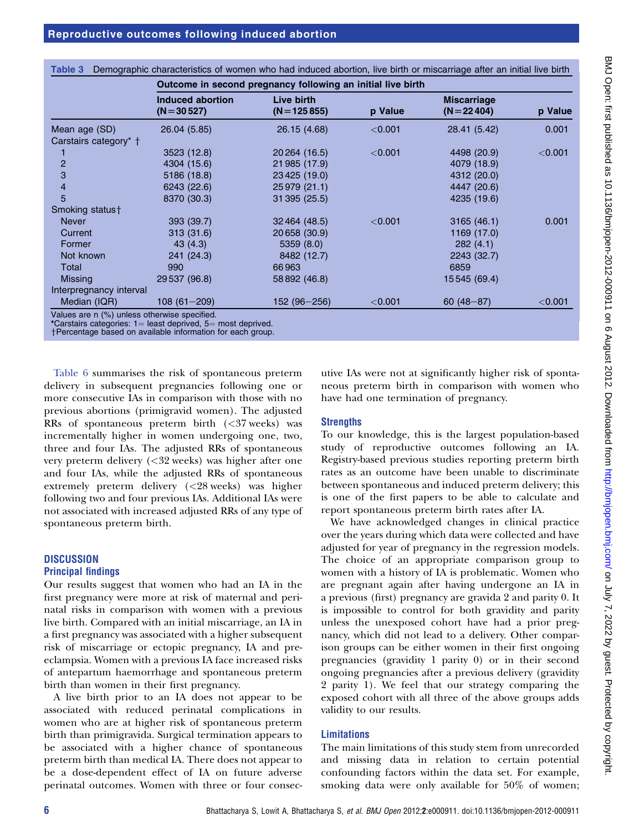|                         |                                        | Outcome in second pregnancy following an initial live birth |           |                                     |            |
|-------------------------|----------------------------------------|-------------------------------------------------------------|-----------|-------------------------------------|------------|
|                         | <b>Induced abortion</b><br>$(N=30527)$ | Live birth<br>$(N = 125 855)$                               | p Value   | <b>Miscarriage</b><br>$(N = 22404)$ | p Value    |
| Mean age (SD)           | 26.04 (5.85)                           | 26.15 (4.68)                                                | < 0.001   | 28.41 (5.42)                        | 0.001      |
| Carstairs category* †   |                                        |                                                             |           |                                     |            |
|                         | 3523 (12.8)                            | 20264 (16.5)                                                | $<$ 0.001 | 4498 (20.9)                         | $<$ 0.001  |
| $\overline{c}$          | 4304 (15.6)                            | 21 985 (17.9)                                               |           | 4079 (18.9)                         |            |
| 3                       | 5186 (18.8)                            | 23425 (19.0)                                                |           | 4312 (20.0)                         |            |
| 4                       | 6243 (22.6)                            | 25 979 (21.1)                                               |           | 4447 (20.6)                         |            |
| 5                       | 8370 (30.3)                            | 31395(25.5)                                                 |           | 4235 (19.6)                         |            |
| Smoking status†         |                                        |                                                             |           |                                     |            |
| <b>Never</b>            | 393(39.7)                              | 32464 (48.5)                                                | < 0.001   | 3165(46.1)                          | 0.001      |
| Current                 | 313(31.6)                              | 20 658 (30.9)                                               |           | 1169 (17.0)                         |            |
| Former                  | 43(4.3)                                | 5359 (8.0)                                                  |           | 282(4.1)                            |            |
| Not known               | 241 (24.3)                             | 8482 (12.7)                                                 |           | 2243 (32.7)                         |            |
| Total                   | 990                                    | 66963                                                       |           | 6859                                |            |
| <b>Missing</b>          | 29 537 (96.8)                          | 58 892 (46.8)                                               |           | 15545 (69.4)                        |            |
| Interpregnancy interval |                                        |                                                             |           |                                     |            |
| Median (IQR)            | $108(61 - 209)$                        | 152 (96-256)                                                | < 0.001   | $60(48 - 87)$                       | ${<}0.001$ |

Values are n (%) unless otherwise specified.<br>\*Carstairs categories: 1 = least deprived, 5 = most deprived.

+Percentage based on available information for each group.

Table 6 summarises the risk of spontaneous preterm delivery in subsequent pregnancies following one or more consecutive IAs in comparison with those with no previous abortions (primigravid women). The adjusted RRs of spontaneous preterm birth  $(*37* weeks) was$ incrementally higher in women undergoing one, two, three and four IAs. The adjusted RRs of spontaneous very preterm delivery (<32 weeks) was higher after one and four IAs, while the adjusted RRs of spontaneous extremely preterm delivery (<28 weeks) was higher following two and four previous IAs. Additional IAs were not associated with increased adjusted RRs of any type of spontaneous preterm birth.

# **DISCUSSION**

#### Principal findings

Our results suggest that women who had an IA in the first pregnancy were more at risk of maternal and perinatal risks in comparison with women with a previous live birth. Compared with an initial miscarriage, an IA in a first pregnancy was associated with a higher subsequent risk of miscarriage or ectopic pregnancy, IA and preeclampsia. Women with a previous IA face increased risks of antepartum haemorrhage and spontaneous preterm birth than women in their first pregnancy.

A live birth prior to an IA does not appear to be associated with reduced perinatal complications in women who are at higher risk of spontaneous preterm birth than primigravida. Surgical termination appears to be associated with a higher chance of spontaneous preterm birth than medical IA. There does not appear to be a dose-dependent effect of IA on future adverse perinatal outcomes. Women with three or four consec-

utive IAs were not at significantly higher risk of spontaneous preterm birth in comparison with women who have had one termination of pregnancy.

#### **Strengths**

To our knowledge, this is the largest population-based study of reproductive outcomes following an IA. Registry-based previous studies reporting preterm birth rates as an outcome have been unable to discriminate between spontaneous and induced preterm delivery; this is one of the first papers to be able to calculate and report spontaneous preterm birth rates after IA.

We have acknowledged changes in clinical practice over the years during which data were collected and have adjusted for year of pregnancy in the regression models. The choice of an appropriate comparison group to women with a history of IA is problematic. Women who are pregnant again after having undergone an IA in a previous (first) pregnancy are gravida 2 and parity 0. It is impossible to control for both gravidity and parity unless the unexposed cohort have had a prior pregnancy, which did not lead to a delivery. Other comparison groups can be either women in their first ongoing pregnancies (gravidity 1 parity 0) or in their second ongoing pregnancies after a previous delivery (gravidity 2 parity 1). We feel that our strategy comparing the exposed cohort with all three of the above groups adds validity to our results.

# Limitations

The main limitations of this study stem from unrecorded and missing data in relation to certain potential confounding factors within the data set. For example, smoking data were only available for 50% of women;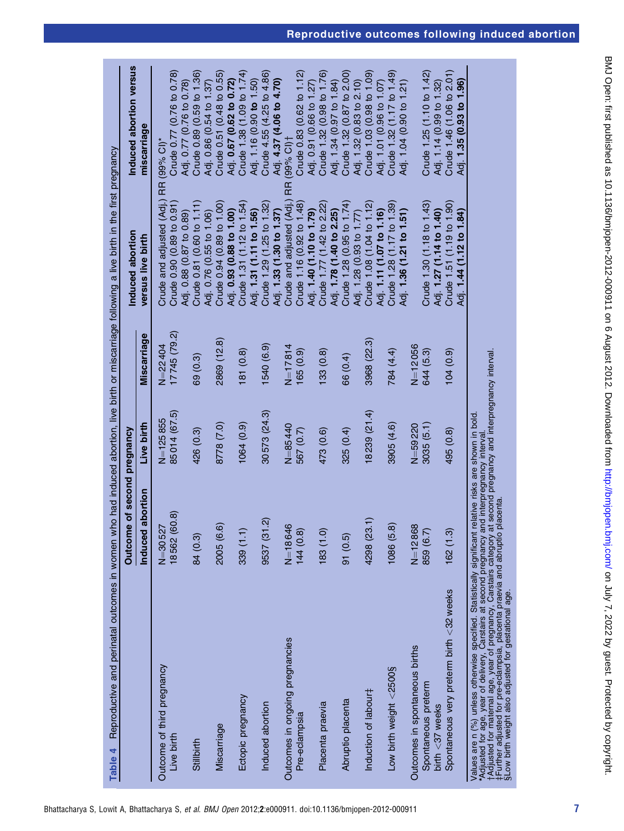| Reproductive and perinatal outcomes in women who had induced abortion, live birth or miscarriage following a live birth in the first pregnancy | Outcome of second pregnancy  |                                                  |              | Induced abortion                                      | Induced abortion versus                               |
|------------------------------------------------------------------------------------------------------------------------------------------------|------------------------------|--------------------------------------------------|--------------|-------------------------------------------------------|-------------------------------------------------------|
|                                                                                                                                                | Induced abortion             | Live birth                                       | Miscarriage  | versus live birth                                     | miscarriage                                           |
| Outcome of third pregnancy                                                                                                                     | $N = 30527$                  | $N = 125855$                                     | N=22404      | Crude and adjusted (Adj.) RR (99% Cl)*                |                                                       |
| Live birth                                                                                                                                     | (60.8)<br>18562              | 85014 (67.5)                                     | 17745 (79.2) | Crude 0.90 (0.89 to 0.91)                             | Crude 0.77 (0.76 to 0.78)                             |
|                                                                                                                                                |                              |                                                  |              | Adj. 0.88 (0.87 to 0.89)                              | Adj. 0.77 (0.76 to 0.78)                              |
| Stillbirth                                                                                                                                     | 84 (0.3)                     | 426 (0.3)                                        | 69 (0.3)     | Crude 0.81 (0.60 to 1.11)<br>Adj. 0.76 (0.55 to 1.06) | Crude 0.89 (0.59 to 1.36)<br>Adj. 0.86 (0.54 to 1.37) |
| Miscarriage                                                                                                                                    | 2005 (6.6)                   | 8778 (7.0)                                       | 2869 (12.8)  | Crude 0.94 (0.89 to 1.00)                             | Crude 0.51 (0.48 to 0.55)                             |
|                                                                                                                                                |                              |                                                  |              | Adj. 0.93 (0.88 to 1.00)                              | Adj. 0.67 (0.62 to 0.72)                              |
| Ectopic pregnancy                                                                                                                              | 339 (1.1)                    | 1064(0.9)                                        | 181(0.8)     | Crude 1.31 (1.12 to 1.54)                             | Crude 1.38 (1.09 to 1.74)                             |
|                                                                                                                                                |                              |                                                  |              | Adj. 1.31 (1.11 to 1.56)                              | Adj. 1.16 (0.90 to 1.50)                              |
| Induced abortion                                                                                                                               | 9537 (31.2)                  | 30573 (24.3)                                     | 1540 (6.9)   | Crude 1.29 (1.25 to 1.32)                             | Crude 4.55 (4.25 to 4.86)                             |
|                                                                                                                                                |                              |                                                  |              | Adj. 1.33 (1.30 to 1.37)                              | Adj. 4.37 (4.06 to 4.70)                              |
| Outcomes in ongoing pregnancies                                                                                                                | $N = 18646$                  | $N = 85440$                                      | $N = 17814$  | Æ<br>Crude and adjusted (Adj.)                        | $(99%$ Cl) $\dagger$                                  |
| Pre-eclampsia                                                                                                                                  | 144(0.8)                     | 567 (0.7)                                        | 165(0.9)     | Crude 1.16 (0.92 to 1.48)                             | Crude 0.83 (0.62 to 1.12)                             |
|                                                                                                                                                |                              |                                                  |              | Adj. 1.40 (1.10 to 1.79)                              | Adj. 0.91 (0.66 to 1.27)                              |
| Placenta praevia                                                                                                                               | 183(1.0)                     | 473 (0.6)                                        | 133(0.8)     | Crude 1.77 (1.42 to 2.22)                             | Crude 1.32 (0.98 to 1.76)                             |
|                                                                                                                                                |                              |                                                  |              | Adj. 1.78 (1.40 to 2.25)                              | Adj. 1.34 (0.97 to 1.84)<br>Crude 1.32 (0.87 to 2.00) |
| Abruptio placenta                                                                                                                              | $(0.5)$ 16                   | 325 (0.4)                                        | 66 (0.4)     | Crude 1.28 (0.95 to 1.74)                             |                                                       |
|                                                                                                                                                |                              |                                                  |              | Adj. 1.28 (0.93 to 1.77)                              | Adj. 1.32 (0.83 to 2.10)                              |
| Induction of labour‡                                                                                                                           | 4298 (23.1)                  | 18239 (21.4)                                     | 3968 (22.3)  | Crude 1.08 (1.04 to 1.12)                             | Crude 1.03 (0.98 to 1.09)                             |
|                                                                                                                                                |                              |                                                  |              | Adj. 1.11 (1.07 to 1.16)                              | Adj. 1.01 (0.96 to 1.07)                              |
| Low birth weight <2500§                                                                                                                        | 1086(5.8)                    | 3905 (4.6)                                       | 784 (4.4)    | Crude 1.28 (1.17 to 1.39)                             | Crude 1.32 (1.17 to 1.49)                             |
|                                                                                                                                                |                              |                                                  |              | Adj. 1.36 (1.21 to 1.51)                              | Adj. 1.04 (0.90 to 1.21)                              |
| Outcomes in spontaneous births                                                                                                                 |                              | $N = 59220$                                      | $N = 12056$  |                                                       |                                                       |
| Spontaneous preterm                                                                                                                            | $N=12868$<br>859 (6.7)       | 3035(5.1)                                        | 644 (5.3)    | Crude 1.30 (1.18 to 1.43)                             | Crude 1.25 (1.10 to 1.42)                             |
| birth $<$ 37 weeks                                                                                                                             |                              |                                                  |              | Adj. 1.27 (1.14 to 1.40)                              | Adj. 1.14 (0.99 to 1.32)                              |
| Spontaneous very preterm birth <32 weeks                                                                                                       | 162(1.3)                     | 495 (0.8)                                        | 104(0.9)     | Crude 1.51 (1.19 to 1.90)                             | Crude 1.46 (1.06 to 2.01)                             |
|                                                                                                                                                |                              |                                                  |              | Adj. 1.44 (1.12 to 1.84)                              | Adj. 1.35 (0.93 to 1.96)                              |
| Values are n (%) unless otherwise specified. Statistically significan<br>*Adjusted for age, year of delivery, Carstairs at second pregnancy    | and interpregnancy interval. | relative risks are shown in bold.                |              |                                                       |                                                       |
| t Adjusted for maternal age, year of pregnancy, Carstairs category                                                                             | placenta.                    | at second pregnancy and interpregnancy interval. |              |                                                       |                                                       |
| ‡Further adjusted for pre-eclampsia, placenta praevia and abruptio<br>§Low birth weight also adjusted for gestational age.                     |                              |                                                  |              |                                                       |                                                       |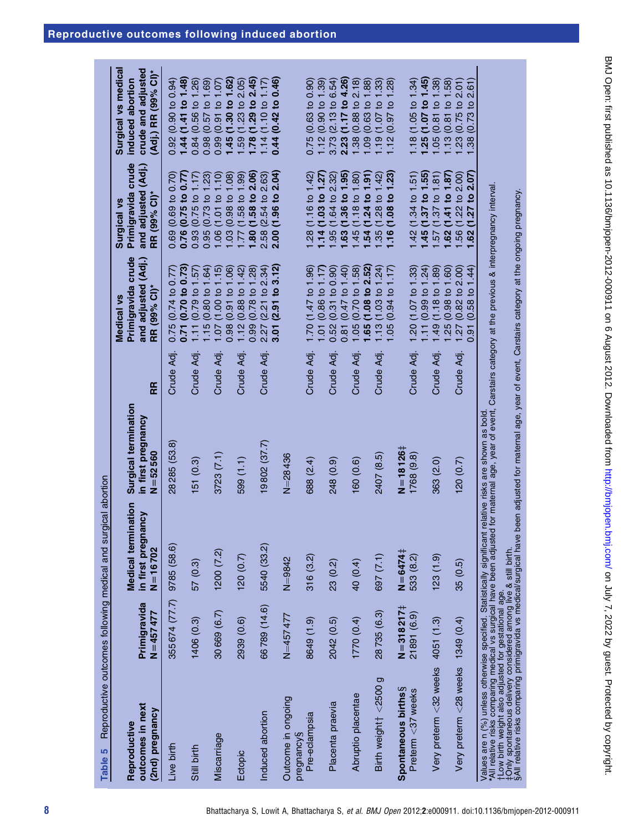| Reproductive outcomes following medical and su<br>outcomes in next<br>(2nd) pregnancy<br>Reproductive<br>Table 5                                                                                                                                                                                                                                                                                                                                        | Primigravida<br>N = 457 477 | <i><b>urgical abortion</b></i><br><b>Medical termination</b><br>nancy<br>in first pregr<br>$N = 16702$ | Surgical termination<br>in first pregnancy<br>$N = 52560$ | RR         | Primigravida crude<br>and adjusted (Adj.)<br>RR (99% CI)*<br><b>Medical vs</b>   | Primigravida crude<br>and adjusted (Adj.)<br>RR (99% CI)*<br><b>Surgical vs</b> | Surgical vs medical<br>crude and adjusted<br>(Adj.) RR (99% Cl)*<br>induced abortion |
|---------------------------------------------------------------------------------------------------------------------------------------------------------------------------------------------------------------------------------------------------------------------------------------------------------------------------------------------------------------------------------------------------------------------------------------------------------|-----------------------------|--------------------------------------------------------------------------------------------------------|-----------------------------------------------------------|------------|----------------------------------------------------------------------------------|---------------------------------------------------------------------------------|--------------------------------------------------------------------------------------|
| Live birth                                                                                                                                                                                                                                                                                                                                                                                                                                              | 355674 (77.7)               | 9785 (58.6)                                                                                            | 28285 (53.8)                                              | Crude Adj  | (0.74 to 0.77<br>0.75                                                            | $(0.69 \text{ to } 0.70)$<br>0.69                                               | (0.90 t0 0.94)<br>0.92                                                               |
|                                                                                                                                                                                                                                                                                                                                                                                                                                                         |                             |                                                                                                        |                                                           |            | (0.70 t 0.73)<br>0.71                                                            | 0.76 (0.75 to 0.77)                                                             | 1.44 (1.41 to 1.48)                                                                  |
| Still birth                                                                                                                                                                                                                                                                                                                                                                                                                                             | 1406(0.3)                   | 57 (0.3)                                                                                               | 151(0.3)                                                  | Crude Adj  | $(0.79 \text{ to } 1.57)$<br>$(0.80 \text{ to } 1.64)$<br>1.11<br>$\frac{15}{1}$ | $(0.75 \text{ to } 1.17)$<br>(52)<br>(0.73 to 1<br>0.93<br>0.95 <sub>0</sub>    | 0.84 (0.56 to 1.26)<br>0.98 (0.57 to 1.69)                                           |
| Miscarriage                                                                                                                                                                                                                                                                                                                                                                                                                                             | 30669 (6.7)                 | 1200(7.2)                                                                                              | 3723(7.1)                                                 | Crude Adj  | (1.00 to 1.15)<br>10.1                                                           | $\frac{1}{2}$<br>$1.01$ to 1<br>1.06                                            | 0.99 (0.91 to 1.07)                                                                  |
| Ectopic                                                                                                                                                                                                                                                                                                                                                                                                                                                 | 2939 (0.6)                  | 120(0.7)                                                                                               | 599 (1.1)                                                 | Crude Adj  | $(0.88 \text{ to } 1.42)$<br>(0.91 to 1.06)<br>1.12<br>0.98                      | $(0.98 \text{ to } 1.08)$<br>$(1.58 \text{ to } 1.99)$<br>1.03<br>1.77          | $(1.30 \text{ to } 1.62)$<br>$(1.23 \text{ to } 2.05)$<br>1.45<br>1.59               |
|                                                                                                                                                                                                                                                                                                                                                                                                                                                         |                             |                                                                                                        |                                                           |            | $(0.78 \text{ to } 1.28)$<br>0.99                                                | $(1.58 \text{ to } 2.06)$<br>1.80                                               | $(1.29 \text{ to } 2.45)$<br>1.78                                                    |
| Induced abortion                                                                                                                                                                                                                                                                                                                                                                                                                                        | 66789 (14.6)                | 5540 (33.2)                                                                                            | 19802 (37.7)                                              | Crude Adj. | (2.91 to 3.12)<br>(2.21 to 2.34)<br>2.27<br>3.01                                 | 2.00 (1.96 to 2.04)<br>$(2.54 \text{ to } 2.63)$<br>2.58                        | 0.44(0.42 to 0.46)<br>$(1.10 \text{ to } 1.17)$<br>1.14                              |
| Outcome in ongoing                                                                                                                                                                                                                                                                                                                                                                                                                                      | N=457477                    | $N = 9842$                                                                                             | $N = 28436$                                               |            |                                                                                  |                                                                                 |                                                                                      |
| Pre-eclampsia<br>pregnancy§                                                                                                                                                                                                                                                                                                                                                                                                                             | 8649 (1.9)                  | 316 (3.2)                                                                                              | 688 (2.4)                                                 | Crude Adj. | $(1.47 \text{ to } 1.96)$<br>1.70                                                | $(1.16 \text{ to } 1.42)$<br>1.28(                                              | $(0.63 \text{ to } 0.90)$<br>0.75                                                    |
|                                                                                                                                                                                                                                                                                                                                                                                                                                                         |                             |                                                                                                        |                                                           |            | $(0.86 \text{ to } 1.17)$<br>1.01                                                | $(1.03 \text{ to } 1.27)$<br>1.14                                               | 1.12(0.90 t0 1.39)                                                                   |
| Placenta praevia                                                                                                                                                                                                                                                                                                                                                                                                                                        | 2042 (0.5)                  | 23 (0.2)                                                                                               | 248 (0.9)                                                 | Crude Adj  | (0.31 to 0.90)<br>0.52                                                           | $(1.64 \text{ to } 2.32)$<br>1.95                                               | $(2.13 \text{ to } 6.54)$<br>3.73                                                    |
|                                                                                                                                                                                                                                                                                                                                                                                                                                                         |                             |                                                                                                        |                                                           |            | $(0.47 \text{ to } 1.40)$<br>0.81                                                | $(1.36 \text{ to } 1.95)$<br>1.63                                               | (1.17 to 4.26)<br>2.23                                                               |
| Abruptio placentae                                                                                                                                                                                                                                                                                                                                                                                                                                      | 1770 (0.4)                  | 40 (0.4)                                                                                               | 160 (0.6)                                                 | Crude Adj  | $(0.70 \text{ to } 1.58)$<br>1.05                                                | $(1.18 \text{ to } 1.80)$<br>1.45                                               | $(0.88 \text{ to } 2.18)$<br>1.38(                                                   |
|                                                                                                                                                                                                                                                                                                                                                                                                                                                         |                             |                                                                                                        |                                                           |            | $(1.08 \text{ to } 2.52)$<br>.65                                                 | $(1.24 \text{ to } 1.91$<br>$-54$                                               | (0.63 to 1.88)<br>1.09                                                               |
| Birth weight + <2500 g                                                                                                                                                                                                                                                                                                                                                                                                                                  | 28735 (6.3)                 | 697 (7.1)                                                                                              | 2407 (8.5)                                                | Crude Adj. | $(1.03 \text{ to } 1.24)$<br>$\frac{13}{2}$                                      | $(1.28 \text{ to } 1.42)$<br>1.35                                               | $(1.07 \text{ to } 1.33)$<br>(61.19)                                                 |
|                                                                                                                                                                                                                                                                                                                                                                                                                                                         |                             |                                                                                                        |                                                           |            | (1,17)<br>(0.94 t)<br>$-50$                                                      | $(1.08 \text{ to } 1.23)$<br>1.16                                               | 1.28<br>$(0.97)$ to<br>1.12                                                          |
| Spontaneous births§                                                                                                                                                                                                                                                                                                                                                                                                                                     | $N = 318217$ #              | $N = 6474 +$                                                                                           | $N = 18126 +$                                             |            |                                                                                  |                                                                                 |                                                                                      |
| Preterm <37 weeks                                                                                                                                                                                                                                                                                                                                                                                                                                       | 21891 (6.9)                 | 533 (8.2)                                                                                              | 1768(9.8)                                                 | Crude Adj. | 1.20 (1.07 to 1.33)                                                              | $.42(1.34 \text{ to } 1.51)$                                                    | .18(1.05 to 1.34)                                                                    |
|                                                                                                                                                                                                                                                                                                                                                                                                                                                         |                             |                                                                                                        |                                                           |            | $(0.99 \text{ to } 1.24)$<br>Ē                                                   | $(1.37 \text{ to } 1.55)$<br>$-45$                                              | 1.25(1.07 to 1.45)                                                                   |
| Very preterm <32 weeks 4051 (1.3)                                                                                                                                                                                                                                                                                                                                                                                                                       |                             | 123(1.9)                                                                                               | 363 (2.0)                                                 | Crude Adj. | $(1.18 \text{ to } 1.89)$<br>49                                                  | $(1.37 \text{ to } 1.81)$<br>1.57                                               | 1.05 (0.81 to 1.38)                                                                  |
|                                                                                                                                                                                                                                                                                                                                                                                                                                                         |                             |                                                                                                        |                                                           |            | $(0.98 \text{ to } 1.60)$<br>25                                                  | $(1.41 \text{ to } 1.87)$<br>$-62$                                              | .13(0.81 to 1.58)                                                                    |
| Very preterm <28 weeks $1349$ (0.4)                                                                                                                                                                                                                                                                                                                                                                                                                     |                             | 35(0.5)                                                                                                | (0.7)                                                     | Crude Adj. | $(0.82 \text{ to } 2.00)$<br>$\overline{27}$                                     | $(1.22 \text{ to } 2.00)$<br>1.56                                               | $1.23$ (0.75 to 2.01)                                                                |
|                                                                                                                                                                                                                                                                                                                                                                                                                                                         |                             |                                                                                                        |                                                           |            | $(0.58 \text{ to } 1.44)$<br>$\overline{5}$                                      | 2.07)<br>$\mathbf{c}$<br>(1.27)<br><b>.62</b>                                   | (0.73 to 2.61)<br>$\frac{38}{2}$                                                     |
| †Low birth weight also adjusted for gestational age.<br>‡Only spontaneous delivery considered among live & still birth.<br>§All relative risks comparing primigravida vs medical/surgical have been adjusted for maternal age, year<br>*All relative risks comparing medical vs surgical have been adjusted for maternal age, year of event,<br>Values are n (%) unless otherwise specified. Statistically significant relative risks are shown as bold |                             |                                                                                                        |                                                           |            | Carstairs category at the previous & interpregnancy interval                     |                                                                                 |                                                                                      |
|                                                                                                                                                                                                                                                                                                                                                                                                                                                         |                             |                                                                                                        |                                                           |            |                                                                                  |                                                                                 |                                                                                      |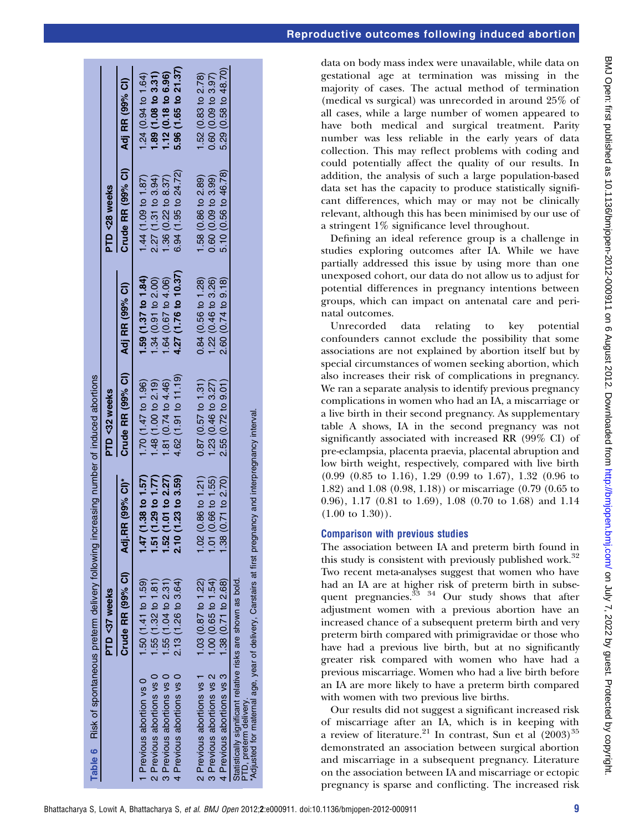### Reproductive outcomes following induced abortion

| data on body mass index were unavailable, while data on     |
|-------------------------------------------------------------|
| gestational age at termination was missing in the           |
| majority of cases. The actual method of termination         |
| (medical vs surgical) was unrecorded in around 25% of       |
| all cases, while a large number of women appeared to        |
| have both medical and surgical treatment. Parity            |
| number was less reliable in the early years of data         |
| collection. This may reflect problems with coding and       |
| could potentially affect the quality of our results. In     |
| addition, the analysis of such a large population-based     |
| data set has the capacity to produce statistically signifi- |
| cant differences, which may or may not be clinically        |
| relevant, although this has been minimised by our use of    |
| a stringent 1% significance level throughout.               |
|                                                             |

Defining an ideal reference group is a challenge in studies exploring outcomes after IA. While we have partially addressed this issue by using more than one unexposed cohort, our data do not allow us to adjust for potential differences in pregnancy intentions between groups, which can impact on antenatal care and perinatal outcomes.

Unrecorded data relating to key potential confounders cannot exclude the possibility that some associations are not explained by abortion itself but by special circumstances of women seeking abortion, which also increases their risk of complications in pregnancy. We ran a separate analysis to identify previous pregnancy complications in women who had an IA, a miscarriage or a live birth in their second pregnancy. As supplementary table A shows, IA in the second pregnancy was not significantly associated with increased RR (99% CI) of pre-eclampsia, placenta praevia, placental abruption and low birth weight, respectively, compared with live birth (0.99 (0.85 to 1.16), 1.29 (0.99 to 1.67), 1.32 (0.96 to 1.82) and 1.08 (0.98, 1.18)) or miscarriage (0.79 (0.65 to 0.96), 1.17 (0.81 to 1.69), 1.08 (0.70 to 1.68) and 1.14  $(1.00 \text{ to } 1.30)$ ).

#### Comparison with previous studies

The association between IA and preterm birth found in this study is consistent with previously published work.<sup>32</sup> Two recent meta-analyses suggest that women who have had an IA are at higher risk of preterm birth in subsequent pregnancies. $33^{34}$  Our study shows that after adjustment women with a previous abortion have an increased chance of a subsequent preterm birth and very preterm birth compared with primigravidae or those who have had a previous live birth, but at no significantly greater risk compared with women who have had a previous miscarriage. Women who had a live birth before an IA are more likely to have a preterm birth compared with women with two previous live births.

Our results did not suggest a significant increased risk of miscarriage after an IA, which is in keeping with a review of literature.<sup>21</sup> In contrast, Sun et al  $(2003)^{35}$ demonstrated an association between surgical abortion and miscarriage in a subsequent pregnancy. Literature on the association between IA and miscarriage or ectopic pregnancy is sparse and conflicting. The increased risk

| Table 6 Risk of spontaneous preterm delivery following increasing number of induced abortions         | PTD <37 weeks                  |                                   | PTD <32 weeks                  |                               | <b>PTD &lt;28 weeks</b> |                       |
|-------------------------------------------------------------------------------------------------------|--------------------------------|-----------------------------------|--------------------------------|-------------------------------|-------------------------|-----------------------|
|                                                                                                       | Crude RR (99% CI)              | Adj.RR (99% CI)*                  | Crude RR (99% CI)              | Adj RR (99% Cl)               | Crude RR (99% CI)       | Adj RR (99% Cl)       |
| 1 Previous abortion vs 0                                                                              | 1.50(1.41 to 1.59)             | $(1.38 \text{ to } 1.57)$<br>1.47 | 1.70 (1.47 to 1.96)            | 1.59 (1.37 to 1.84)           | 1.44 (1.09 to 1.87)     | 1.24(0.94 to 1.64)    |
| 2 Previous abortions vs 0                                                                             | 1.55(1.32 to 1.81)             | $(1.29 \text{ to } 1.77)$<br>1.51 | 1.48(1.00 to 2.19)             | $1.34(0.91)$ to $2.00$ )      | 2.27 (1.31 to 3.94)     | (1.89(1.08 to 3.31))  |
| 3 Previous abortions vs 0                                                                             | 1.55(1.04 to 2.31)             | (1.01 to 2.27)<br>1.52            | 1.81 $(0.74 \text{ to } 4.46)$ | 1.64 (0.67 to 4.06)           | 1.36(0.22 to 8.37)      | 1.12 (0.18 to 6.96)   |
| 4 Previous abortions vs 0                                                                             | 2.13 (1.26 to 3.64)            | 2.10(1.23 to 3.59)                | 4.62(1.91 to 11.19)            | 4.27 (1.76 to 10.37)          | 6.94 (1.95 to 24.72)    | 5.96 (1.65 to 21.37)  |
| 2 Previous abortions vs 1                                                                             | 1.03 $(0.87 \text{ to } 1.22)$ | $1.02$ (0.86 to $1.21$ )          | 0.87(0.57 to 1.31)             | $0.84$ (0.56 to 1.28)         | 1.58 (0.86 to 2.89)     | $1.52$ (0.83 to 2.78) |
| 3 Previous abortions vs 2                                                                             | 1.00 (0.65 to 1.54)            | 1.01 (0.66 to 1.55)               | 1.23 $(0.46$ to 3.27)          | 1.22 (0.46 to 3.26)           | 0.60 (0.09 to 3.99)     | 0.60(0.09 to 3.97)    |
| 4 Previous abortions vs 3                                                                             | $1.38$ $(0.71$ to 2.68)        | 1.38 (0.71 to 2.70)               | 2.55 (0.72 to 9.01)            | $2.60(0.74 \text{ to } 9.18)$ | 5.10 (0.56 to 46.78)    | 5.29 (0.58 to 48.70)  |
| Statistically significant relative risks are shown as bold<br>PTD, preterm delivery.                  |                                |                                   |                                |                               |                         |                       |
| Adjusted for maternal age, year of delivery, Carstairs at first pregnancy and interpregnancy interval |                                |                                   |                                |                               |                         |                       |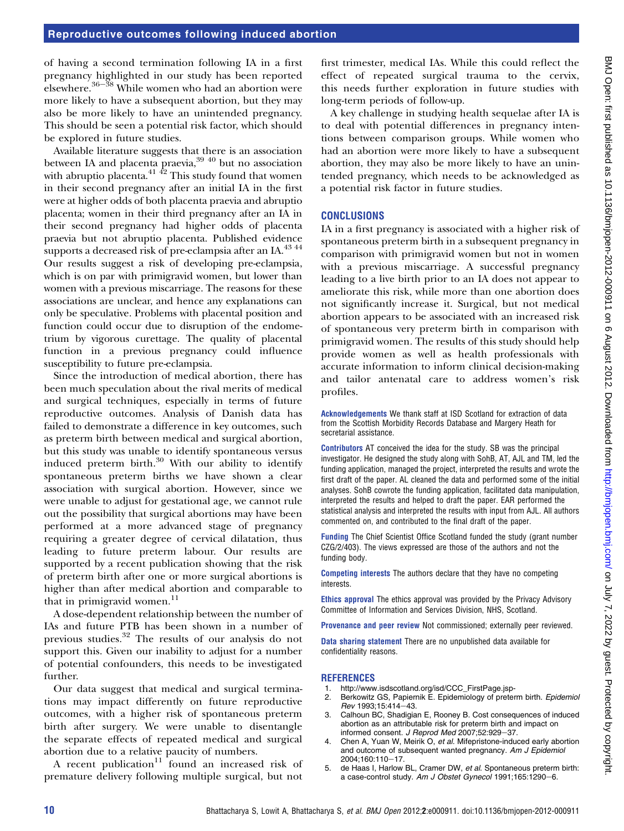of having a second termination following IA in a first pregnancy highlighted in our study has been reported elsewhere. $36-38$  While women who had an abortion were more likely to have a subsequent abortion, but they may also be more likely to have an unintended pregnancy. This should be seen a potential risk factor, which should be explored in future studies.

Available literature suggests that there is an association between IA and placenta praevia,<sup>39 40</sup> but no association with abruptio placenta. $^{\rm 41 \ 42}$  This study found that women in their second pregnancy after an initial IA in the first were at higher odds of both placenta praevia and abruptio placenta; women in their third pregnancy after an IA in their second pregnancy had higher odds of placenta praevia but not abruptio placenta. Published evidence supports a decreased risk of pre-eclampsia after an IA.<sup>43 44</sup> Our results suggest a risk of developing pre-eclampsia, which is on par with primigravid women, but lower than women with a previous miscarriage. The reasons for these associations are unclear, and hence any explanations can only be speculative. Problems with placental position and function could occur due to disruption of the endometrium by vigorous curettage. The quality of placental function in a previous pregnancy could influence susceptibility to future pre-eclampsia.

Since the introduction of medical abortion, there has been much speculation about the rival merits of medical and surgical techniques, especially in terms of future reproductive outcomes. Analysis of Danish data has failed to demonstrate a difference in key outcomes, such as preterm birth between medical and surgical abortion, but this study was unable to identify spontaneous versus induced preterm birth. $30$  With our ability to identify spontaneous preterm births we have shown a clear association with surgical abortion. However, since we were unable to adjust for gestational age, we cannot rule out the possibility that surgical abortions may have been performed at a more advanced stage of pregnancy requiring a greater degree of cervical dilatation, thus leading to future preterm labour. Our results are supported by a recent publication showing that the risk of preterm birth after one or more surgical abortions is higher than after medical abortion and comparable to that in primigravid women.<sup>11</sup>

A dose-dependent relationship between the number of IAs and future PTB has been shown in a number of previous studies.<sup>32</sup> The results of our analysis do not support this. Given our inability to adjust for a number of potential confounders, this needs to be investigated further.

Our data suggest that medical and surgical terminations may impact differently on future reproductive outcomes, with a higher risk of spontaneous preterm birth after surgery. We were unable to disentangle the separate effects of repeated medical and surgical abortion due to a relative paucity of numbers.

A recent publication $11$  found an increased risk of premature delivery following multiple surgical, but not

first trimester, medical IAs. While this could reflect the effect of repeated surgical trauma to the cervix, this needs further exploration in future studies with long-term periods of follow-up.

A key challenge in studying health sequelae after IA is to deal with potential differences in pregnancy intentions between comparison groups. While women who had an abortion were more likely to have a subsequent abortion, they may also be more likely to have an unintended pregnancy, which needs to be acknowledged as a potential risk factor in future studies.

#### **CONCLUSIONS**

IA in a first pregnancy is associated with a higher risk of spontaneous preterm birth in a subsequent pregnancy in comparison with primigravid women but not in women with a previous miscarriage. A successful pregnancy leading to a live birth prior to an IA does not appear to ameliorate this risk, while more than one abortion does not significantly increase it. Surgical, but not medical abortion appears to be associated with an increased risk of spontaneous very preterm birth in comparison with primigravid women. The results of this study should help provide women as well as health professionals with accurate information to inform clinical decision-making and tailor antenatal care to address women's risk profiles.

Acknowledgements We thank staff at ISD Scotland for extraction of data from the Scottish Morbidity Records Database and Margery Heath for secretarial assistance.

Contributors AT conceived the idea for the study. SB was the principal investigator. He designed the study along with SohB, AT, AJL and TM, led the funding application, managed the project, interpreted the results and wrote the first draft of the paper. AL cleaned the data and performed some of the initial analyses. SohB cowrote the funding application, facilitated data manipulation, interpreted the results and helped to draft the paper. EAR performed the statistical analysis and interpreted the results with input from AJL. All authors commented on, and contributed to the final draft of the paper.

Funding The Chief Scientist Office Scotland funded the study (grant number CZG/2/403). The views expressed are those of the authors and not the funding body.

Competing interests The authors declare that they have no competing interests.

Ethics approval The ethics approval was provided by the Privacy Advisory Committee of Information and Services Division, NHS, Scotland.

Provenance and peer review Not commissioned; externally peer reviewed.

Data sharing statement There are no unpublished data available for confidentiality reasons.

#### **REFERENCES**

- 1. http://www.isdscotland.org/isd/CCC\_FirstPage.jsp-<br>2. Berkowitz GS, Papiernik E. Epidemiology of preter
- Berkowitz GS, Papiernik E. Epidemiology of preterm birth. Epidemiol Rev 1993;15:414-43.
- 3. Calhoun BC, Shadigian E, Rooney B. Cost consequences of induced abortion as an attributable risk for preterm birth and impact on informed consent. J Reprod Med 2007;52:929-37.
- Chen A, Yuan W, Meirik O, et al. Mifepristone-induced early abortion and outcome of subsequent wanted pregnancy. Am J Epidemiol 2004:160:110-17.
- 5. de Haas I, Harlow BL, Cramer DW, et al. Spontaneous preterm birth: a case-control study. Am J Obstet Gynecol 1991;165:1290-6.